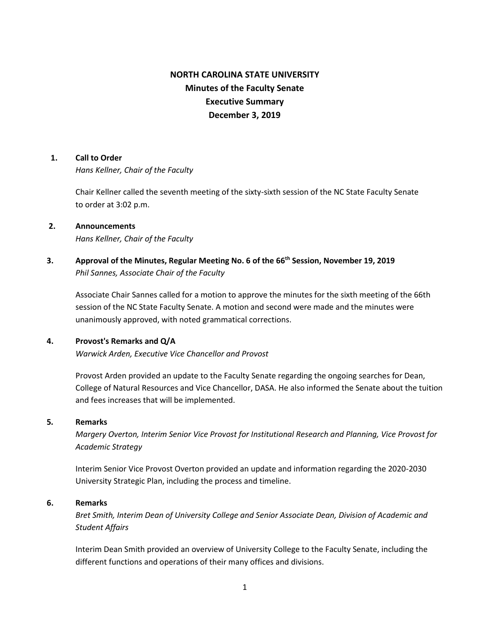# **NORTH CAROLINA STATE UNIVERSITY Minutes of the Faculty Senate Executive Summary December 3, 2019**

### **1. Call to Order**

*Hans Kellner, Chair of the Faculty*

Chair Kellner called the seventh meeting of the sixty-sixth session of the NC State Faculty Senate to order at 3:02 p.m.

# **2. Announcements** *Hans Kellner, Chair of the Faculty*

# **3. Approval of the Minutes, Regular Meeting No. 6 of the 66th Session, November 19, 2019** *Phil Sannes, Associate Chair of the Faculty*

Associate Chair Sannes called for a motion to approve the minutes for the sixth meeting of the 66th session of the NC State Faculty Senate. A motion and second were made and the minutes were unanimously approved, with noted grammatical corrections.

# **4. Provost's Remarks and Q/A**

*Warwick Arden, Executive Vice Chancellor and Provost*

Provost Arden provided an update to the Faculty Senate regarding the ongoing searches for Dean, College of Natural Resources and Vice Chancellor, DASA. He also informed the Senate about the tuition and fees increases that will be implemented.

# **5***.* **Remarks**

*Margery Overton, Interim Senior Vice Provost for Institutional Research and Planning, Vice Provost for Academic Strategy*

Interim Senior Vice Provost Overton provided an update and information regarding the 2020-2030 University Strategic Plan, including the process and timeline.

# **6. Remarks**

*Bret Smith, Interim Dean of University College and Senior Associate Dean, Division of Academic and Student Affairs*

Interim Dean Smith provided an overview of University College to the Faculty Senate, including the different functions and operations of their many offices and divisions.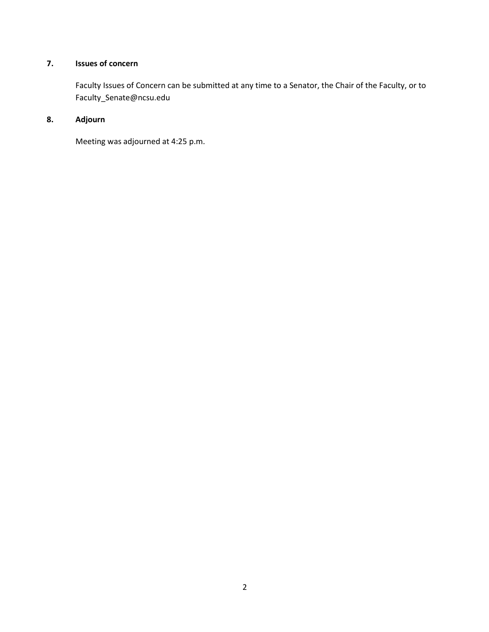# **7. Issues of concern**

 Faculty Issues of Concern can be submitted at any time to a Senator, the Chair of the Faculty, or to Faculty\_Senate@ncsu.edu

# **8. Adjourn**

Meeting was adjourned at 4:25 p.m.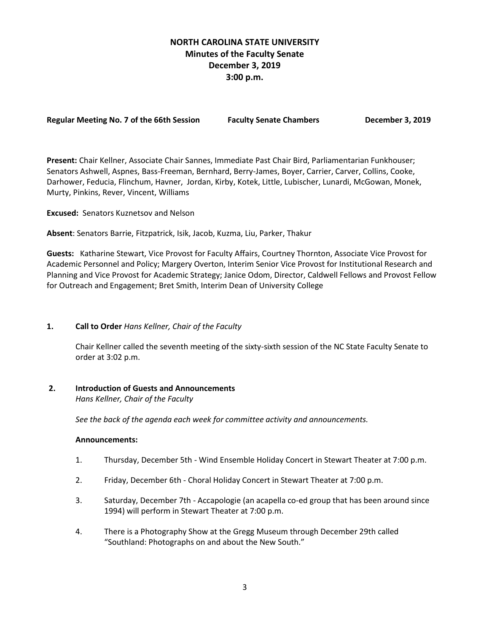# **NORTH CAROLINA STATE UNIVERSITY Minutes of the Faculty Senate December 3, 2019 3:00 p.m.**

| <b>Regular Meeting No. 7 of the 66th Session</b> | Faculty |
|--------------------------------------------------|---------|
|--------------------------------------------------|---------|

**Regular Meeting No. 7 of the 66th Session Faculty Senate Chambers December 3, 2019**

**Present:** Chair Kellner, Associate Chair Sannes, Immediate Past Chair Bird, Parliamentarian Funkhouser; Senators Ashwell, Aspnes, Bass-Freeman, Bernhard, Berry-James, Boyer, Carrier, Carver, Collins, Cooke, Darhower, Feducia, Flinchum, Havner, Jordan, Kirby, Kotek, Little, Lubischer, Lunardi, McGowan, Monek, Murty, Pinkins, Rever, Vincent, Williams

**Excused:** Senators Kuznetsov and Nelson

**Absent**: Senators Barrie, Fitzpatrick, Isik, Jacob, Kuzma, Liu, Parker, Thakur

**Guests:** Katharine Stewart, Vice Provost for Faculty Affairs, Courtney Thornton, Associate Vice Provost for Academic Personnel and Policy; Margery Overton, Interim Senior Vice Provost for Institutional Research and Planning and Vice Provost for Academic Strategy; Janice Odom, Director, Caldwell Fellows and Provost Fellow for Outreach and Engagement; Bret Smith, Interim Dean of University College

# **1. Call to Order** *Hans Kellner, Chair of the Faculty*

Chair Kellner called the seventh meeting of the sixty-sixth session of the NC State Faculty Senate to order at 3:02 p.m.

# **2. Introduction of Guests and Announcements**

*Hans Kellner, Chair of the Faculty*

 *See the back of the agenda each week for committee activity and announcements.*

#### **Announcements:**

- 1. Thursday, December 5th Wind Ensemble Holiday Concert in Stewart Theater at 7:00 p.m.
- 2. Friday, December 6th Choral Holiday Concert in Stewart Theater at 7:00 p.m.
- 3. Saturday, December 7th Accapologie (an acapella co-ed group that has been around since 1994) will perform in Stewart Theater at 7:00 p.m.
- 4. There is a Photography Show at the Gregg Museum through December 29th called "Southland: Photographs on and about the New South."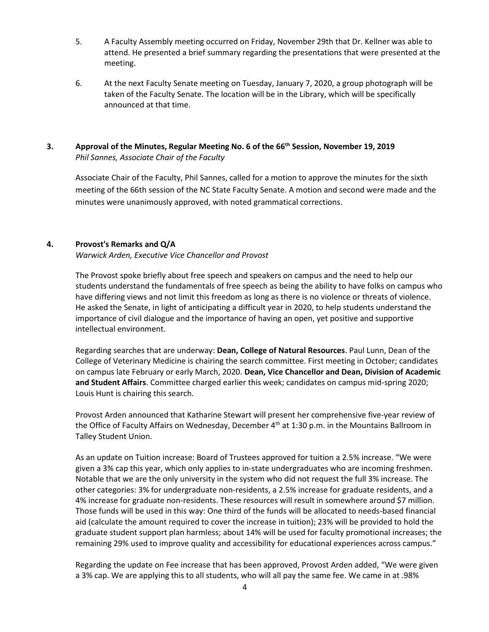- 5. A Faculty Assembly meeting occurred on Friday, November 29th that Dr. Kellner was able to attend. He presented a brief summary regarding the presentations that were presented at the meeting.
- 6. At the next Faculty Senate meeting on Tuesday, January 7, 2020, a group photograph will be taken of the Faculty Senate. The location will be in the Library, which will be specifically announced at that time.

# **3. Approval of the Minutes, Regular Meeting No. 6 of the 66th Session, November 19, 2019** *Phil Sannes, Associate Chair of the Faculty*

Associate Chair of the Faculty, Phil Sannes, called for a motion to approve the minutes for the sixth meeting of the 66th session of the NC State Faculty Senate. A motion and second were made and the minutes were unanimously approved, with noted grammatical corrections.

# **4. Provost's Remarks and Q/A**

*Warwick Arden, Executive Vice Chancellor and Provost* 

The Provost spoke briefly about free speech and speakers on campus and the need to help our students understand the fundamentals of free speech as being the ability to have folks on campus who have differing views and not limit this freedom as long as there is no violence or threats of violence. He asked the Senate, in light of anticipating a difficult year in 2020, to help students understand the importance of civil dialogue and the importance of having an open, yet positive and supportive intellectual environment.

Regarding searches that are underway: **Dean, College of Natural Resources**. Paul Lunn, Dean of the College of Veterinary Medicine is chairing the search committee. First meeting in October; candidates on campus late February or early March, 2020. **Dean, Vice Chancellor and Dean, Division of Academic and Student Affairs**. Committee charged earlier this week; candidates on campus mid-spring 2020; Louis Hunt is chairing this search.

Provost Arden announced that Katharine Stewart will present her comprehensive five-year review of the Office of Faculty Affairs on Wednesday, December 4<sup>th</sup> at 1:30 p.m. in the Mountains Ballroom in Talley Student Union.

As an update on Tuition increase: Board of Trustees approved for tuition a 2.5% increase. "We were given a 3% cap this year, which only applies to in-state undergraduates who are incoming freshmen. Notable that we are the only university in the system who did not request the full 3% increase. The other categories: 3% for undergraduate non-residents, a 2.5% increase for graduate residents, and a 4% increase for graduate non-residents. These resources will result in somewhere around \$7 million. Those funds will be used in this way: One third of the funds will be allocated to needs-based financial aid (calculate the amount required to cover the increase in tuition); 23% will be provided to hold the graduate student support plan harmless; about 14% will be used for faculty promotional increases; the remaining 29% used to improve quality and accessibility for educational experiences across campus."

Regarding the update on Fee increase that has been approved, Provost Arden added, "We were given a 3% cap. We are applying this to all students, who will all pay the same fee. We came in at .98%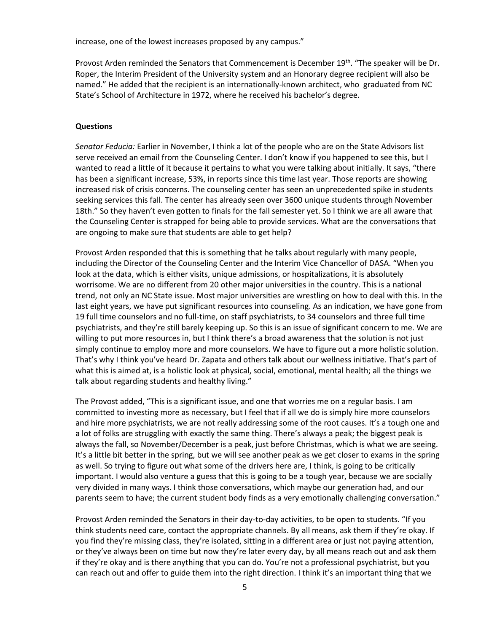increase, one of the lowest increases proposed by any campus."

Provost Arden reminded the Senators that Commencement is December 19<sup>th</sup>. "The speaker will be Dr. Roper, the Interim President of the University system and an Honorary degree recipient will also be named." He added that the recipient is an internationally-known architect, who graduated from NC State's School of Architecture in 1972, where he received his bachelor's degree.

### **Questions**

*Senator Feducia:* Earlier in November, I think a lot of the people who are on the State Advisors list serve received an email from the Counseling Center. I don't know if you happened to see this, but I wanted to read a little of it because it pertains to what you were talking about initially. It says, "there has been a significant increase, 53%, in reports since this time last year. Those reports are showing increased risk of crisis concerns. The counseling center has seen an unprecedented spike in students seeking services this fall. The center has already seen over 3600 unique students through November 18th." So they haven't even gotten to finals for the fall semester yet. So I think we are all aware that the Counseling Center is strapped for being able to provide services. What are the conversations that are ongoing to make sure that students are able to get help?

Provost Arden responded that this is something that he talks about regularly with many people, including the Director of the Counseling Center and the Interim Vice Chancellor of DASA. "When you look at the data, which is either visits, unique admissions, or hospitalizations, it is absolutely worrisome. We are no different from 20 other major universities in the country. This is a national trend, not only an NC State issue. Most major universities are wrestling on how to deal with this. In the last eight years, we have put significant resources into counseling. As an indication, we have gone from 19 full time counselors and no full-time, on staff psychiatrists, to 34 counselors and three full time psychiatrists, and they're still barely keeping up. So this is an issue of significant concern to me. We are willing to put more resources in, but I think there's a broad awareness that the solution is not just simply continue to employ more and more counselors. We have to figure out a more holistic solution. That's why I think you've heard Dr. Zapata and others talk about our wellness initiative. That's part of what this is aimed at, is a holistic look at physical, social, emotional, mental health; all the things we talk about regarding students and healthy living."

The Provost added, "This is a significant issue, and one that worries me on a regular basis. I am committed to investing more as necessary, but I feel that if all we do is simply hire more counselors and hire more psychiatrists, we are not really addressing some of the root causes. It's a tough one and a lot of folks are struggling with exactly the same thing. There's always a peak; the biggest peak is always the fall, so November/December is a peak, just before Christmas, which is what we are seeing. It's a little bit better in the spring, but we will see another peak as we get closer to exams in the spring as well. So trying to figure out what some of the drivers here are, I think, is going to be critically important. I would also venture a guess that this is going to be a tough year, because we are socially very divided in many ways. I think those conversations, which maybe our generation had, and our parents seem to have; the current student body finds as a very emotionally challenging conversation."

Provost Arden reminded the Senators in their day-to-day activities, to be open to students. "If you think students need care, contact the appropriate channels. By all means, ask them if they're okay. If you find they're missing class, they're isolated, sitting in a different area or just not paying attention, or they've always been on time but now they're later every day, by all means reach out and ask them if they're okay and is there anything that you can do. You're not a professional psychiatrist, but you can reach out and offer to guide them into the right direction. I think it's an important thing that we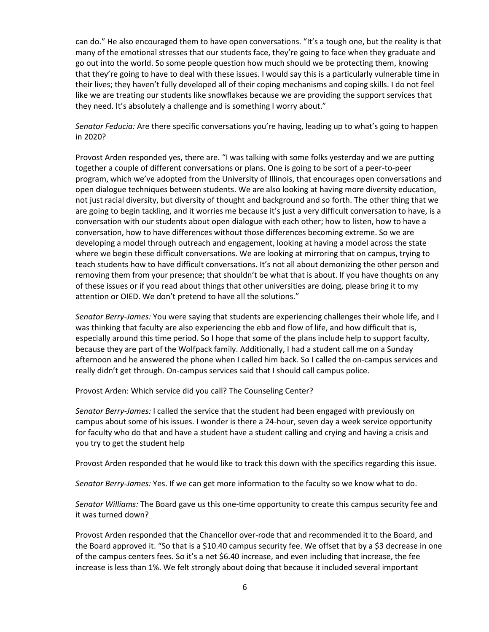can do." He also encouraged them to have open conversations. "It's a tough one, but the reality is that many of the emotional stresses that our students face, they're going to face when they graduate and go out into the world. So some people question how much should we be protecting them, knowing that they're going to have to deal with these issues. I would say this is a particularly vulnerable time in their lives; they haven't fully developed all of their coping mechanisms and coping skills. I do not feel like we are treating our students like snowflakes because we are providing the support services that they need. It's absolutely a challenge and is something I worry about."

*Senator Feducia:* Are there specific conversations you're having, leading up to what's going to happen in 2020?

Provost Arden responded yes, there are. "I was talking with some folks yesterday and we are putting together a couple of different conversations or plans. One is going to be sort of a peer-to-peer program, which we've adopted from the University of Illinois, that encourages open conversations and open dialogue techniques between students. We are also looking at having more diversity education, not just racial diversity, but diversity of thought and background and so forth. The other thing that we are going to begin tackling, and it worries me because it's just a very difficult conversation to have, is a conversation with our students about open dialogue with each other; how to listen, how to have a conversation, how to have differences without those differences becoming extreme. So we are developing a model through outreach and engagement, looking at having a model across the state where we begin these difficult conversations. We are looking at mirroring that on campus, trying to teach students how to have difficult conversations. It's not all about demonizing the other person and removing them from your presence; that shouldn't be what that is about. If you have thoughts on any of these issues or if you read about things that other universities are doing, please bring it to my attention or OIED. We don't pretend to have all the solutions."

*Senator Berry-James:* You were saying that students are experiencing challenges their whole life, and I was thinking that faculty are also experiencing the ebb and flow of life, and how difficult that is, especially around this time period. So I hope that some of the plans include help to support faculty, because they are part of the Wolfpack family. Additionally, I had a student call me on a Sunday afternoon and he answered the phone when I called him back. So I called the on-campus services and really didn't get through. On-campus services said that I should call campus police.

Provost Arden: Which service did you call? The Counseling Center?

*Senator Berry-James:* I called the service that the student had been engaged with previously on campus about some of his issues. I wonder is there a 24-hour, seven day a week service opportunity for faculty who do that and have a student have a student calling and crying and having a crisis and you try to get the student help

Provost Arden responded that he would like to track this down with the specifics regarding this issue.

*Senator Berry-James:* Yes. If we can get more information to the faculty so we know what to do.

*Senator Williams:* The Board gave us this one-time opportunity to create this campus security fee and it was turned down?

Provost Arden responded that the Chancellor over-rode that and recommended it to the Board, and the Board approved it. "So that is a \$10.40 campus security fee. We offset that by a \$3 decrease in one of the campus centers fees. So it's a net \$6.40 increase, and even including that increase, the fee increase is less than 1%. We felt strongly about doing that because it included several important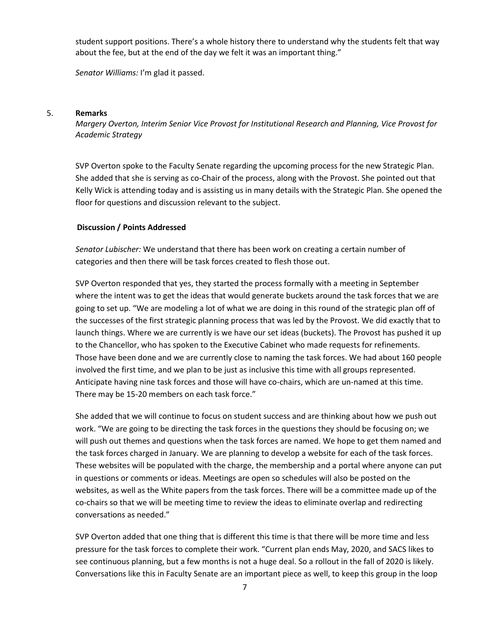student support positions. There's a whole history there to understand why the students felt that way about the fee, but at the end of the day we felt it was an important thing."

*Senator Williams:* I'm glad it passed.

#### 5. **Remarks**

*Margery Overton, Interim Senior Vice Provost for Institutional Research and Planning, Vice Provost for Academic Strategy*

SVP Overton spoke to the Faculty Senate regarding the upcoming process for the new Strategic Plan. She added that she is serving as co-Chair of the process, along with the Provost. She pointed out that Kelly Wick is attending today and is assisting us in many details with the Strategic Plan. She opened the floor for questions and discussion relevant to the subject.

# **Discussion / Points Addressed**

*Senator Lubischer:* We understand that there has been work on creating a certain number of categories and then there will be task forces created to flesh those out.

SVP Overton responded that yes, they started the process formally with a meeting in September where the intent was to get the ideas that would generate buckets around the task forces that we are going to set up. "We are modeling a lot of what we are doing in this round of the strategic plan off of the successes of the first strategic planning process that was led by the Provost. We did exactly that to launch things. Where we are currently is we have our set ideas (buckets). The Provost has pushed it up to the Chancellor, who has spoken to the Executive Cabinet who made requests for refinements. Those have been done and we are currently close to naming the task forces. We had about 160 people involved the first time, and we plan to be just as inclusive this time with all groups represented. Anticipate having nine task forces and those will have co-chairs, which are un-named at this time. There may be 15-20 members on each task force."

She added that we will continue to focus on student success and are thinking about how we push out work. "We are going to be directing the task forces in the questions they should be focusing on; we will push out themes and questions when the task forces are named. We hope to get them named and the task forces charged in January. We are planning to develop a website for each of the task forces. These websites will be populated with the charge, the membership and a portal where anyone can put in questions or comments or ideas. Meetings are open so schedules will also be posted on the websites, as well as the White papers from the task forces. There will be a committee made up of the co-chairs so that we will be meeting time to review the ideas to eliminate overlap and redirecting conversations as needed."

SVP Overton added that one thing that is different this time is that there will be more time and less pressure for the task forces to complete their work. "Current plan ends May, 2020, and SACS likes to see continuous planning, but a few months is not a huge deal. So a rollout in the fall of 2020 is likely. Conversations like this in Faculty Senate are an important piece as well, to keep this group in the loop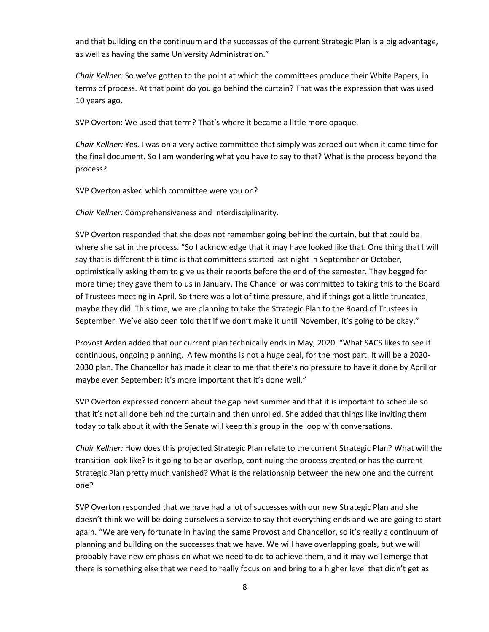and that building on the continuum and the successes of the current Strategic Plan is a big advantage, as well as having the same University Administration."

*Chair Kellner:* So we've gotten to the point at which the committees produce their White Papers, in terms of process. At that point do you go behind the curtain? That was the expression that was used 10 years ago.

SVP Overton: We used that term? That's where it became a little more opaque.

*Chair Kellner:* Yes. I was on a very active committee that simply was zeroed out when it came time for the final document. So I am wondering what you have to say to that? What is the process beyond the process?

SVP Overton asked which committee were you on?

*Chair Kellner:* Comprehensiveness and Interdisciplinarity.

SVP Overton responded that she does not remember going behind the curtain, but that could be where she sat in the process. "So I acknowledge that it may have looked like that. One thing that I will say that is different this time is that committees started last night in September or October, optimistically asking them to give us their reports before the end of the semester. They begged for more time; they gave them to us in January. The Chancellor was committed to taking this to the Board of Trustees meeting in April. So there was a lot of time pressure, and if things got a little truncated, maybe they did. This time, we are planning to take the Strategic Plan to the Board of Trustees in September. We've also been told that if we don't make it until November, it's going to be okay."

Provost Arden added that our current plan technically ends in May, 2020. "What SACS likes to see if continuous, ongoing planning. A few months is not a huge deal, for the most part. It will be a 2020- 2030 plan. The Chancellor has made it clear to me that there's no pressure to have it done by April or maybe even September; it's more important that it's done well."

SVP Overton expressed concern about the gap next summer and that it is important to schedule so that it's not all done behind the curtain and then unrolled. She added that things like inviting them today to talk about it with the Senate will keep this group in the loop with conversations.

*Chair Kellner:* How does this projected Strategic Plan relate to the current Strategic Plan? What will the transition look like? Is it going to be an overlap, continuing the process created or has the current Strategic Plan pretty much vanished? What is the relationship between the new one and the current one?

SVP Overton responded that we have had a lot of successes with our new Strategic Plan and she doesn't think we will be doing ourselves a service to say that everything ends and we are going to start again. "We are very fortunate in having the same Provost and Chancellor, so it's really a continuum of planning and building on the successes that we have. We will have overlapping goals, but we will probably have new emphasis on what we need to do to achieve them, and it may well emerge that there is something else that we need to really focus on and bring to a higher level that didn't get as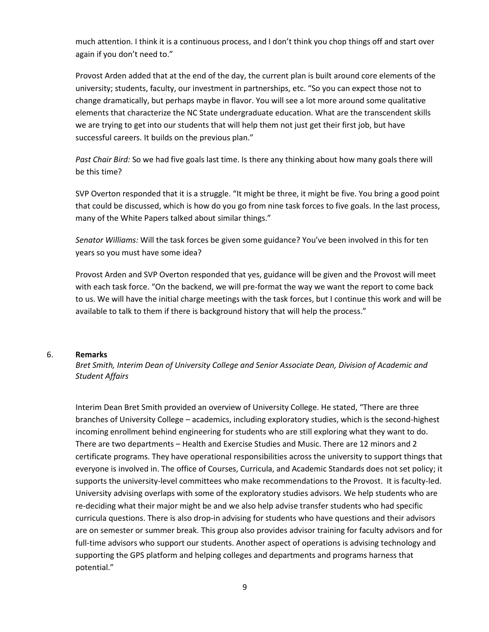much attention. I think it is a continuous process, and I don't think you chop things off and start over again if you don't need to."

Provost Arden added that at the end of the day, the current plan is built around core elements of the university; students, faculty, our investment in partnerships, etc. "So you can expect those not to change dramatically, but perhaps maybe in flavor. You will see a lot more around some qualitative elements that characterize the NC State undergraduate education. What are the transcendent skills we are trying to get into our students that will help them not just get their first job, but have successful careers. It builds on the previous plan."

*Past Chair Bird:* So we had five goals last time. Is there any thinking about how many goals there will be this time?

SVP Overton responded that it is a struggle. "It might be three, it might be five. You bring a good point that could be discussed, which is how do you go from nine task forces to five goals. In the last process, many of the White Papers talked about similar things."

*Senator Williams:* Will the task forces be given some guidance? You've been involved in this for ten years so you must have some idea?

Provost Arden and SVP Overton responded that yes, guidance will be given and the Provost will meet with each task force. "On the backend, we will pre-format the way we want the report to come back to us. We will have the initial charge meetings with the task forces, but I continue this work and will be available to talk to them if there is background history that will help the process."

#### 6. **Remarks**

*Bret Smith, Interim Dean of University College and Senior Associate Dean, Division of Academic and Student Affairs* 

Interim Dean Bret Smith provided an overview of University College. He stated, "There are three branches of University College – academics, including exploratory studies, which is the second-highest incoming enrollment behind engineering for students who are still exploring what they want to do. There are two departments – Health and Exercise Studies and Music. There are 12 minors and 2 certificate programs. They have operational responsibilities across the university to support things that everyone is involved in. The office of Courses, Curricula, and Academic Standards does not set policy; it supports the university-level committees who make recommendations to the Provost. It is faculty-led. University advising overlaps with some of the exploratory studies advisors. We help students who are re-deciding what their major might be and we also help advise transfer students who had specific curricula questions. There is also drop-in advising for students who have questions and their advisors are on semester or summer break. This group also provides advisor training for faculty advisors and for full-time advisors who support our students. Another aspect of operations is advising technology and supporting the GPS platform and helping colleges and departments and programs harness that potential."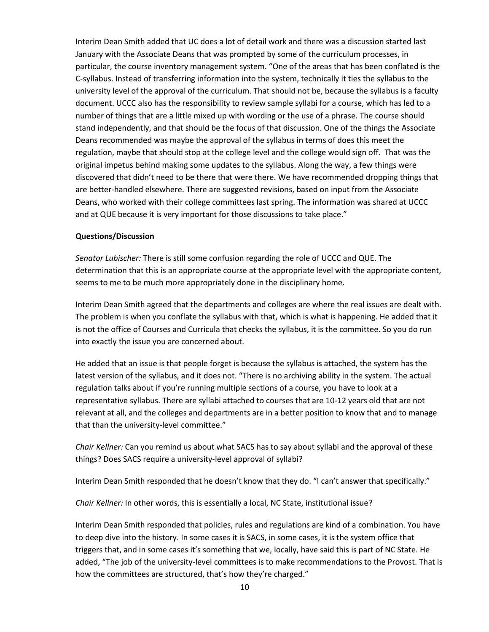Interim Dean Smith added that UC does a lot of detail work and there was a discussion started last January with the Associate Deans that was prompted by some of the curriculum processes, in particular, the course inventory management system. "One of the areas that has been conflated is the C-syllabus. Instead of transferring information into the system, technically it ties the syllabus to the university level of the approval of the curriculum. That should not be, because the syllabus is a faculty document. UCCC also has the responsibility to review sample syllabi for a course, which has led to a number of things that are a little mixed up with wording or the use of a phrase. The course should stand independently, and that should be the focus of that discussion. One of the things the Associate Deans recommended was maybe the approval of the syllabus in terms of does this meet the regulation, maybe that should stop at the college level and the college would sign off. That was the original impetus behind making some updates to the syllabus. Along the way, a few things were discovered that didn't need to be there that were there. We have recommended dropping things that are better-handled elsewhere. There are suggested revisions, based on input from the Associate Deans, who worked with their college committees last spring. The information was shared at UCCC and at QUE because it is very important for those discussions to take place."

### **Questions/Discussion**

*Senator Lubischer:* There is still some confusion regarding the role of UCCC and QUE. The determination that this is an appropriate course at the appropriate level with the appropriate content, seems to me to be much more appropriately done in the disciplinary home.

Interim Dean Smith agreed that the departments and colleges are where the real issues are dealt with. The problem is when you conflate the syllabus with that, which is what is happening. He added that it is not the office of Courses and Curricula that checks the syllabus, it is the committee. So you do run into exactly the issue you are concerned about.

He added that an issue is that people forget is because the syllabus is attached, the system has the latest version of the syllabus, and it does not. "There is no archiving ability in the system. The actual regulation talks about if you're running multiple sections of a course, you have to look at a representative syllabus. There are syllabi attached to courses that are 10-12 years old that are not relevant at all, and the colleges and departments are in a better position to know that and to manage that than the university-level committee."

*Chair Kellner:* Can you remind us about what SACS has to say about syllabi and the approval of these things? Does SACS require a university-level approval of syllabi?

Interim Dean Smith responded that he doesn't know that they do. "I can't answer that specifically."

*Chair Kellner:* In other words, this is essentially a local, NC State, institutional issue?

Interim Dean Smith responded that policies, rules and regulations are kind of a combination. You have to deep dive into the history. In some cases it is SACS, in some cases, it is the system office that triggers that, and in some cases it's something that we, locally, have said this is part of NC State. He added, "The job of the university-level committees is to make recommendations to the Provost. That is how the committees are structured, that's how they're charged."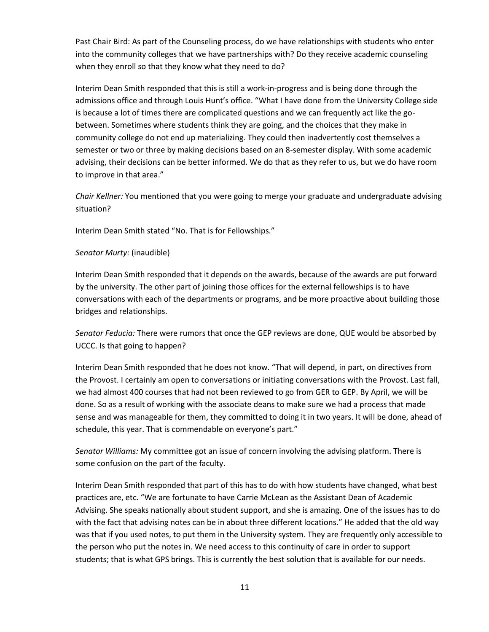Past Chair Bird: As part of the Counseling process, do we have relationships with students who enter into the community colleges that we have partnerships with? Do they receive academic counseling when they enroll so that they know what they need to do?

Interim Dean Smith responded that this is still a work-in-progress and is being done through the admissions office and through Louis Hunt's office. "What I have done from the University College side is because a lot of times there are complicated questions and we can frequently act like the gobetween. Sometimes where students think they are going, and the choices that they make in community college do not end up materializing. They could then inadvertently cost themselves a semester or two or three by making decisions based on an 8-semester display. With some academic advising, their decisions can be better informed. We do that as they refer to us, but we do have room to improve in that area."

*Chair Kellner:* You mentioned that you were going to merge your graduate and undergraduate advising situation?

Interim Dean Smith stated "No. That is for Fellowships."

### *Senator Murty:* (inaudible)

Interim Dean Smith responded that it depends on the awards, because of the awards are put forward by the university. The other part of joining those offices for the external fellowships is to have conversations with each of the departments or programs, and be more proactive about building those bridges and relationships.

*Senator Feducia:* There were rumors that once the GEP reviews are done, QUE would be absorbed by UCCC. Is that going to happen?

Interim Dean Smith responded that he does not know. "That will depend, in part, on directives from the Provost. I certainly am open to conversations or initiating conversations with the Provost. Last fall, we had almost 400 courses that had not been reviewed to go from GER to GEP. By April, we will be done. So as a result of working with the associate deans to make sure we had a process that made sense and was manageable for them, they committed to doing it in two years. It will be done, ahead of schedule, this year. That is commendable on everyone's part."

*Senator Williams:* My committee got an issue of concern involving the advising platform. There is some confusion on the part of the faculty.

Interim Dean Smith responded that part of this has to do with how students have changed, what best practices are, etc. "We are fortunate to have Carrie McLean as the Assistant Dean of Academic Advising. She speaks nationally about student support, and she is amazing. One of the issues has to do with the fact that advising notes can be in about three different locations." He added that the old way was that if you used notes, to put them in the University system. They are frequently only accessible to the person who put the notes in. We need access to this continuity of care in order to support students; that is what GPS brings. This is currently the best solution that is available for our needs.